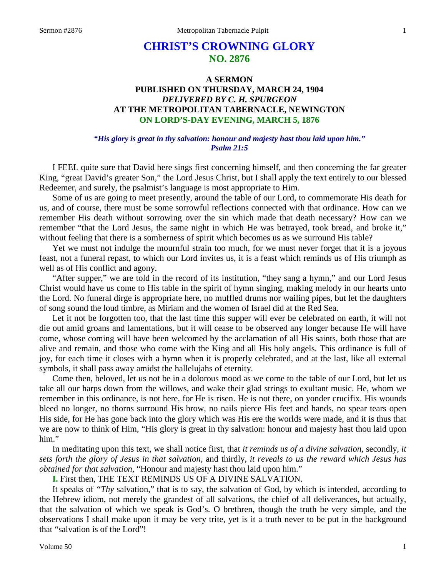# **CHRIST'S CROWNING GLORY NO. 2876**

# **A SERMON PUBLISHED ON THURSDAY, MARCH 24, 1904** *DELIVERED BY C. H. SPURGEON* **AT THE METROPOLITAN TABERNACLE, NEWINGTON ON LORD'S-DAY EVENING, MARCH 5, 1876**

### *"His glory is great in thy salvation: honour and majesty hast thou laid upon him." Psalm 21:5*

I FEEL quite sure that David here sings first concerning himself, and then concerning the far greater King, "great David's greater Son," the Lord Jesus Christ, but I shall apply the text entirely to our blessed Redeemer, and surely, the psalmist's language is most appropriate to Him.

Some of us are going to meet presently, around the table of our Lord, to commemorate His death for us, and of course, there must be some sorrowful reflections connected with that ordinance. How can we remember His death without sorrowing over the sin which made that death necessary? How can we remember "that the Lord Jesus, the same night in which He was betrayed, took bread, and broke it," without feeling that there is a somberness of spirit which becomes us as we surround His table?

Yet we must not indulge the mournful strain too much, for we must never forget that it is a joyous feast, not a funeral repast, to which our Lord invites us, it is a feast which reminds us of His triumph as well as of His conflict and agony.

"After supper," we are told in the record of its institution, "they sang a hymn," and our Lord Jesus Christ would have us come to His table in the spirit of hymn singing, making melody in our hearts unto the Lord. No funeral dirge is appropriate here, no muffled drums nor wailing pipes, but let the daughters of song sound the loud timbre, as Miriam and the women of Israel did at the Red Sea.

Let it not be forgotten too, that the last time this supper will ever be celebrated on earth, it will not die out amid groans and lamentations, but it will cease to be observed any longer because He will have come, whose coming will have been welcomed by the acclamation of all His saints, both those that are alive and remain, and those who come with the King and all His holy angels. This ordinance is full of joy, for each time it closes with a hymn when it is properly celebrated, and at the last, like all external symbols, it shall pass away amidst the hallelujahs of eternity.

Come then, beloved, let us not be in a dolorous mood as we come to the table of our Lord, but let us take all our harps down from the willows, and wake their glad strings to exultant music. He, whom we remember in this ordinance, is not here, for He is risen. He is not there, on yonder crucifix. His wounds bleed no longer, no thorns surround His brow, no nails pierce His feet and hands, no spear tears open His side, for He has gone back into the glory which was His ere the worlds were made, and it is thus that we are now to think of Him, "His glory is great in thy salvation: honour and majesty hast thou laid upon him."

In meditating upon this text, we shall notice first, that *it reminds us of a divine salvation,* secondly, *it sets forth the glory of Jesus in that salvation,* and thirdly, *it reveals to us the reward which Jesus has obtained for that salvation,* "Honour and majesty hast thou laid upon him."

**I.** First then, THE TEXT REMINDS US OF A DIVINE SALVATION.

It speaks of *"Thy* salvation," that is to say, the salvation of God, by which is intended, according to the Hebrew idiom, not merely the grandest of all salvations, the chief of all deliverances, but actually, that the salvation of which we speak is God's. O brethren, though the truth be very simple, and the observations I shall make upon it may be very trite, yet is it a truth never to be put in the background that "salvation is of the Lord"!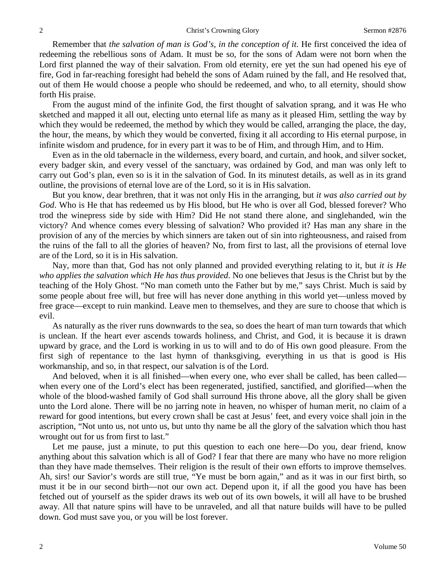Remember that *the salvation of man is God's, in the conception of it*. He first conceived the idea of redeeming the rebellious sons of Adam. It must be so, for the sons of Adam were not born when the Lord first planned the way of their salvation. From old eternity, ere yet the sun had opened his eye of fire, God in far-reaching foresight had beheld the sons of Adam ruined by the fall, and He resolved that, out of them He would choose a people who should be redeemed, and who, to all eternity, should show forth His praise.

From the august mind of the infinite God, the first thought of salvation sprang, and it was He who sketched and mapped it all out, electing unto eternal life as many as it pleased Him, settling the way by which they would be redeemed, the method by which they would be called, arranging the place, the day, the hour, the means, by which they would be converted, fixing it all according to His eternal purpose, in infinite wisdom and prudence, for in every part it was to be of Him, and through Him, and to Him.

Even as in the old tabernacle in the wilderness, every board, and curtain, and hook, and silver socket, every badger skin, and every vessel of the sanctuary, was ordained by God, and man was only left to carry out God's plan, even so is it in the salvation of God. In its minutest details, as well as in its grand outline, the provisions of eternal love are of the Lord, so it is in His salvation.

But you know, dear brethren, that it was not only His in the arranging, but *it was also carried out by God*. Who is He that has redeemed us by His blood, but He who is over all God, blessed forever? Who trod the winepress side by side with Him? Did He not stand there alone, and singlehanded, win the victory? And whence comes every blessing of salvation? Who provided it? Has man any share in the provision of any of the mercies by which sinners are taken out of sin into righteousness, and raised from the ruins of the fall to all the glories of heaven? No, from first to last, all the provisions of eternal love are of the Lord, so it is in His salvation.

Nay, more than that, God has not only planned and provided everything relating to it, but *it is He who applies the salvation which He has thus provided*. No one believes that Jesus is the Christ but by the teaching of the Holy Ghost. "No man cometh unto the Father but by me," says Christ. Much is said by some people about free will, but free will has never done anything in this world yet—unless moved by free grace—except to ruin mankind. Leave men to themselves, and they are sure to choose that which is evil.

As naturally as the river runs downwards to the sea, so does the heart of man turn towards that which is unclean. If the heart ever ascends towards holiness, and Christ, and God, it is because it is drawn upward by grace, and the Lord is working in us to will and to do of His own good pleasure. From the first sigh of repentance to the last hymn of thanksgiving, everything in us that is good is His workmanship, and so, in that respect, our salvation is of the Lord.

And beloved, when it is all finished—when every one, who ever shall be called, has been called when every one of the Lord's elect has been regenerated, justified, sanctified, and glorified—when the whole of the blood-washed family of God shall surround His throne above, all the glory shall be given unto the Lord alone. There will be no jarring note in heaven, no whisper of human merit, no claim of a reward for good intentions, but every crown shall be cast at Jesus' feet, and every voice shall join in the ascription, "Not unto us, not unto us, but unto thy name be all the glory of the salvation which thou hast wrought out for us from first to last."

Let me pause, just a minute, to put this question to each one here—Do you, dear friend, know anything about this salvation which is all of God? I fear that there are many who have no more religion than they have made themselves. Their religion is the result of their own efforts to improve themselves. Ah, sirs! our Savior's words are still true, "Ye must be born again," and as it was in our first birth, so must it be in our second birth—not our own act. Depend upon it, if all the good you have has been fetched out of yourself as the spider draws its web out of its own bowels, it will all have to be brushed away. All that nature spins will have to be unraveled, and all that nature builds will have to be pulled down. God must save you, or you will be lost forever.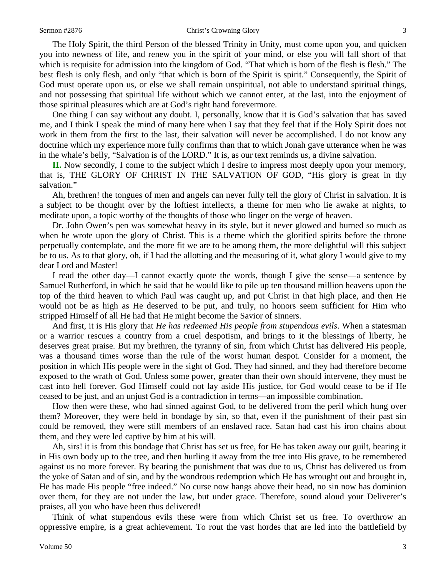#### Sermon #2876 Christ's Crowning Glory 3

The Holy Spirit, the third Person of the blessed Trinity in Unity, must come upon you, and quicken you into newness of life, and renew you in the spirit of your mind, or else you will fall short of that which is requisite for admission into the kingdom of God. "That which is born of the flesh is flesh." The best flesh is only flesh, and only "that which is born of the Spirit is spirit." Consequently, the Spirit of God must operate upon us, or else we shall remain unspiritual, not able to understand spiritual things, and not possessing that spiritual life without which we cannot enter, at the last, into the enjoyment of those spiritual pleasures which are at God's right hand forevermore.

One thing I can say without any doubt. I, personally, know that it is God's salvation that has saved me, and I think I speak the mind of many here when I say that they feel that if the Holy Spirit does not work in them from the first to the last, their salvation will never be accomplished. I do not know any doctrine which my experience more fully confirms than that to which Jonah gave utterance when he was in the whale's belly, "Salvation is of the LORD." It is, as our text reminds us, a divine salvation.

**II.** Now secondly, I come to the subject which I desire to impress most deeply upon your memory, that is, THE GLORY OF CHRIST IN THE SALVATION OF GOD, "His glory is great in thy salvation."

Ah, brethren! the tongues of men and angels can never fully tell the glory of Christ in salvation. It is a subject to be thought over by the loftiest intellects, a theme for men who lie awake at nights, to meditate upon, a topic worthy of the thoughts of those who linger on the verge of heaven.

Dr. John Owen's pen was somewhat heavy in its style, but it never glowed and burned so much as when he wrote upon the glory of Christ. This is a theme which the glorified spirits before the throne perpetually contemplate, and the more fit we are to be among them, the more delightful will this subject be to us. As to that glory, oh, if I had the allotting and the measuring of it, what glory I would give to my dear Lord and Master!

I read the other day—I cannot exactly quote the words, though I give the sense—a sentence by Samuel Rutherford, in which he said that he would like to pile up ten thousand million heavens upon the top of the third heaven to which Paul was caught up, and put Christ in that high place, and then He would not be as high as He deserved to be put, and truly, no honors seem sufficient for Him who stripped Himself of all He had that He might become the Savior of sinners.

And first, it is His glory that *He has redeemed His people from stupendous evils*. When a statesman or a warrior rescues a country from a cruel despotism, and brings to it the blessings of liberty, he deserves great praise. But my brethren, the tyranny of sin, from which Christ has delivered His people, was a thousand times worse than the rule of the worst human despot. Consider for a moment, the position in which His people were in the sight of God. They had sinned, and they had therefore become exposed to the wrath of God. Unless some power, greater than their own should intervene, they must be cast into hell forever. God Himself could not lay aside His justice, for God would cease to be if He ceased to be just, and an unjust God is a contradiction in terms—an impossible combination.

How then were these, who had sinned against God, to be delivered from the peril which hung over them? Moreover, they were held in bondage by sin, so that, even if the punishment of their past sin could be removed, they were still members of an enslaved race. Satan had cast his iron chains about them, and they were led captive by him at his will.

Ah, sirs! it is from this bondage that Christ has set us free, for He has taken away our guilt, bearing it in His own body up to the tree, and then hurling it away from the tree into His grave, to be remembered against us no more forever. By bearing the punishment that was due to us, Christ has delivered us from the yoke of Satan and of sin, and by the wondrous redemption which He has wrought out and brought in, He has made His people "free indeed." No curse now hangs above their head, no sin now has dominion over them, for they are not under the law, but under grace. Therefore, sound aloud your Deliverer's praises, all you who have been thus delivered!

Think of what stupendous evils these were from which Christ set us free. To overthrow an oppressive empire, is a great achievement. To rout the vast hordes that are led into the battlefield by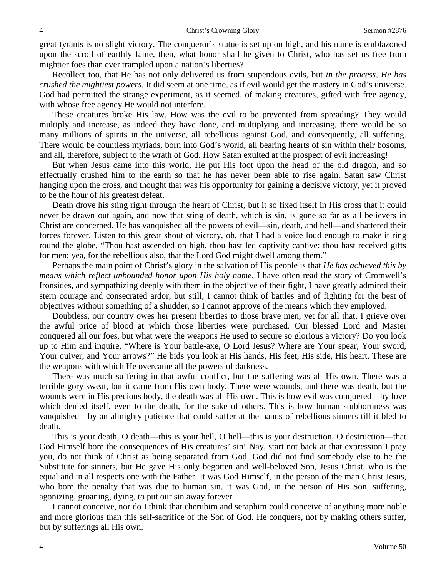great tyrants is no slight victory. The conqueror's statue is set up on high, and his name is emblazoned upon the scroll of earthly fame, then, what honor shall be given to Christ, who has set us free from mightier foes than ever trampled upon a nation's liberties?

Recollect too, that He has not only delivered us from stupendous evils, but *in the process, He has crushed the mightiest powers*. It did seem at one time, as if evil would get the mastery in God's universe. God had permitted the strange experiment, as it seemed, of making creatures, gifted with free agency, with whose free agency He would not interfere.

These creatures broke His law. How was the evil to be prevented from spreading? They would multiply and increase, as indeed they have done, and multiplying and increasing, there would be so many millions of spirits in the universe, all rebellious against God, and consequently, all suffering. There would be countless myriads, born into God's world, all bearing hearts of sin within their bosoms, and all, therefore, subject to the wrath of God. How Satan exulted at the prospect of evil increasing!

But when Jesus came into this world, He put His foot upon the head of the old dragon, and so effectually crushed him to the earth so that he has never been able to rise again. Satan saw Christ hanging upon the cross, and thought that was his opportunity for gaining a decisive victory, yet it proved to be the hour of his greatest defeat.

Death drove his sting right through the heart of Christ, but it so fixed itself in His cross that it could never be drawn out again, and now that sting of death, which is sin, is gone so far as all believers in Christ are concerned. He has vanquished all the powers of evil—sin, death, and hell—and shattered their forces forever. Listen to this great shout of victory, oh, that I had a voice loud enough to make it ring round the globe, "Thou hast ascended on high, thou hast led captivity captive: thou hast received gifts for men; yea, for the rebellious also, that the Lord God might dwell among them."

Perhaps the main point of Christ's glory in the salvation of His people is that *He has achieved this by means which reflect unbounded honor upon His holy name*. I have often read the story of Cromwell's Ironsides, and sympathizing deeply with them in the objective of their fight, I have greatly admired their stern courage and consecrated ardor, but still, I cannot think of battles and of fighting for the best of objectives without something of a shudder, so I cannot approve of the means which they employed.

Doubtless, our country owes her present liberties to those brave men, yet for all that, I grieve over the awful price of blood at which those liberties were purchased. Our blessed Lord and Master conquered all our foes, but what were the weapons He used to secure so glorious a victory? Do you look up to Him and inquire, "Where is Your battle-axe, O Lord Jesus? Where are Your spear, Your sword, Your quiver, and Your arrows?" He bids you look at His hands, His feet, His side, His heart. These are the weapons with which He overcame all the powers of darkness.

There was much suffering in that awful conflict, but the suffering was all His own. There was a terrible gory sweat, but it came from His own body. There were wounds, and there was death, but the wounds were in His precious body, the death was all His own. This is how evil was conquered—by love which denied itself, even to the death, for the sake of others. This is how human stubbornness was vanquished—by an almighty patience that could suffer at the hands of rebellious sinners till it bled to death.

This is your death, O death—this is your hell, O hell—this is your destruction, O destruction—that God Himself bore the consequences of His creatures' sin! Nay, start not back at that expression I pray you, do not think of Christ as being separated from God. God did not find somebody else to be the Substitute for sinners, but He gave His only begotten and well-beloved Son, Jesus Christ, who is the equal and in all respects one with the Father. It was God Himself, in the person of the man Christ Jesus, who bore the penalty that was due to human sin, it was God, in the person of His Son, suffering, agonizing, groaning, dying, to put our sin away forever.

I cannot conceive, nor do I think that cherubim and seraphim could conceive of anything more noble and more glorious than this self-sacrifice of the Son of God. He conquers, not by making others suffer, but by sufferings all His own.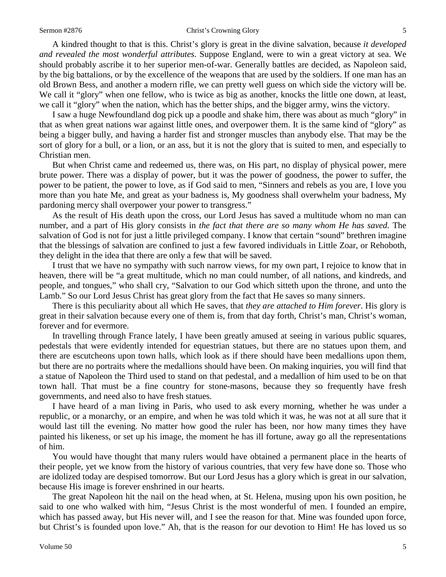#### Sermon #2876 **Sermon #2876** Christ's Crowning Glory 5

A kindred thought to that is this. Christ's glory is great in the divine salvation, because *it developed and revealed the most wonderful attributes*. Suppose England, were to win a great victory at sea. We should probably ascribe it to her superior men-of-war. Generally battles are decided, as Napoleon said, by the big battalions, or by the excellence of the weapons that are used by the soldiers. If one man has an old Brown Bess, and another a modern rifle, we can pretty well guess on which side the victory will be. We call it "glory" when one fellow, who is twice as big as another, knocks the little one down, at least, we call it "glory" when the nation, which has the better ships, and the bigger army, wins the victory.

I saw a huge Newfoundland dog pick up a poodle and shake him, there was about as much "glory" in that as when great nations war against little ones, and overpower them. It is the same kind of "glory" as being a bigger bully, and having a harder fist and stronger muscles than anybody else. That may be the sort of glory for a bull, or a lion, or an ass, but it is not the glory that is suited to men, and especially to Christian men.

But when Christ came and redeemed us, there was, on His part, no display of physical power, mere brute power. There was a display of power, but it was the power of goodness, the power to suffer, the power to be patient, the power to love, as if God said to men, "Sinners and rebels as you are, I love you more than you hate Me, and great as your badness is, My goodness shall overwhelm your badness, My pardoning mercy shall overpower your power to transgress."

As the result of His death upon the cross, our Lord Jesus has saved a multitude whom no man can number, and a part of His glory consists in *the fact that there are so many whom He has saved.* The salvation of God is not for just a little privileged company. I know that certain "sound" brethren imagine that the blessings of salvation are confined to just a few favored individuals in Little Zoar, or Rehoboth, they delight in the idea that there are only a few that will be saved.

I trust that we have no sympathy with such narrow views, for my own part, I rejoice to know that in heaven, there will be "a great multitude, which no man could number, of all nations, and kindreds, and people, and tongues," who shall cry, "Salvation to our God which sitteth upon the throne, and unto the Lamb." So our Lord Jesus Christ has great glory from the fact that He saves so many sinners.

There is this peculiarity about all which He saves, that *they are attached to Him forever*. His glory is great in their salvation because every one of them is, from that day forth, Christ's man, Christ's woman, forever and for evermore.

In travelling through France lately, I have been greatly amused at seeing in various public squares, pedestals that were evidently intended for equestrian statues, but there are no statues upon them, and there are escutcheons upon town halls, which look as if there should have been medallions upon them, but there are no portraits where the medallions should have been. On making inquiries, you will find that a statue of Napoleon the Third used to stand on that pedestal, and a medallion of him used to be on that town hall. That must be a fine country for stone-masons, because they so frequently have fresh governments, and need also to have fresh statues.

I have heard of a man living in Paris, who used to ask every morning, whether he was under a republic, or a monarchy, or an empire, and when he was told which it was, he was not at all sure that it would last till the evening. No matter how good the ruler has been, nor how many times they have painted his likeness, or set up his image, the moment he has ill fortune, away go all the representations of him.

You would have thought that many rulers would have obtained a permanent place in the hearts of their people, yet we know from the history of various countries, that very few have done so. Those who are idolized today are despised tomorrow. But our Lord Jesus has a glory which is great in our salvation, because His image is forever enshrined in our hearts.

The great Napoleon hit the nail on the head when, at St. Helena, musing upon his own position, he said to one who walked with him, "Jesus Christ is the most wonderful of men. I founded an empire, which has passed away, but His never will, and I see the reason for that. Mine was founded upon force, but Christ's is founded upon love." Ah, that is the reason for our devotion to Him! He has loved us so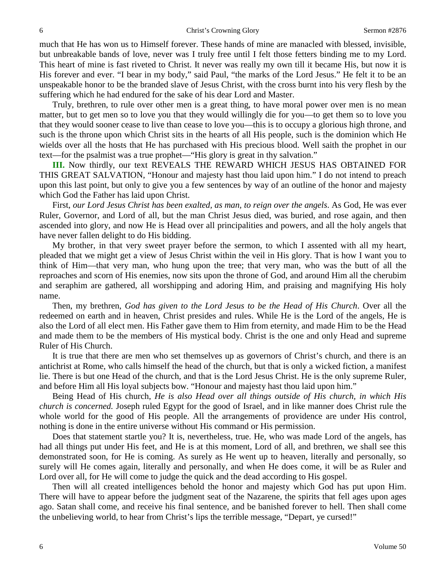much that He has won us to Himself forever. These hands of mine are manacled with blessed, invisible, but unbreakable bands of love, never was I truly free until I felt those fetters binding me to my Lord. This heart of mine is fast riveted to Christ. It never was really my own till it became His, but now it is His forever and ever. "I bear in my body," said Paul, "the marks of the Lord Jesus." He felt it to be an unspeakable honor to be the branded slave of Jesus Christ, with the cross burnt into his very flesh by the suffering which he had endured for the sake of his dear Lord and Master.

Truly, brethren, to rule over other men is a great thing, to have moral power over men is no mean matter, but to get men so to love you that they would willingly die for you—to get them so to love you that they would sooner cease to live than cease to love you—this is to occupy a glorious high throne, and such is the throne upon which Christ sits in the hearts of all His people, such is the dominion which He wields over all the hosts that He has purchased with His precious blood. Well saith the prophet in our text—for the psalmist was a true prophet—"His glory is great in thy salvation."

**III.** Now thirdly, our text REVEALS THE REWARD WHICH JESUS HAS OBTAINED FOR THIS GREAT SALVATION, "Honour and majesty hast thou laid upon him." I do not intend to preach upon this last point, but only to give you a few sentences by way of an outline of the honor and majesty which God the Father has laid upon Christ.

First, *our Lord Jesus Christ has been exalted, as man, to reign over the angels*. As God, He was ever Ruler, Governor, and Lord of all, but the man Christ Jesus died, was buried, and rose again, and then ascended into glory, and now He is Head over all principalities and powers, and all the holy angels that have never fallen delight to do His bidding.

My brother, in that very sweet prayer before the sermon, to which I assented with all my heart, pleaded that we might get a view of Jesus Christ within the veil in His glory. That is how I want you to think of Him—that very man, who hung upon the tree; that very man, who was the butt of all the reproaches and scorn of His enemies, now sits upon the throne of God, and around Him all the cherubim and seraphim are gathered, all worshipping and adoring Him, and praising and magnifying His holy name.

Then, my brethren, *God has given to the Lord Jesus to be the Head of His Church*. Over all the redeemed on earth and in heaven, Christ presides and rules. While He is the Lord of the angels, He is also the Lord of all elect men. His Father gave them to Him from eternity, and made Him to be the Head and made them to be the members of His mystical body. Christ is the one and only Head and supreme Ruler of His Church.

It is true that there are men who set themselves up as governors of Christ's church, and there is an antichrist at Rome, who calls himself the head of the church, but that is only a wicked fiction, a manifest lie. There is but one Head of the church, and that is the Lord Jesus Christ. He is the only supreme Ruler, and before Him all His loyal subjects bow. "Honour and majesty hast thou laid upon him."

Being Head of His church, *He is also Head over all things outside of His church, in which His church is concerned.* Joseph ruled Egypt for the good of Israel, and in like manner does Christ rule the whole world for the good of His people. All the arrangements of providence are under His control, nothing is done in the entire universe without His command or His permission.

Does that statement startle you? It is, nevertheless, true. He, who was made Lord of the angels, has had all things put under His feet, and He is at this moment, Lord of all, and brethren, we shall see this demonstrated soon, for He is coming. As surely as He went up to heaven, literally and personally, so surely will He comes again, literally and personally, and when He does come, it will be as Ruler and Lord over all, for He will come to judge the quick and the dead according to His gospel.

Then will all created intelligences behold the honor and majesty which God has put upon Him. There will have to appear before the judgment seat of the Nazarene, the spirits that fell ages upon ages ago. Satan shall come, and receive his final sentence, and be banished forever to hell. Then shall come the unbelieving world, to hear from Christ's lips the terrible message, "Depart, ye cursed!"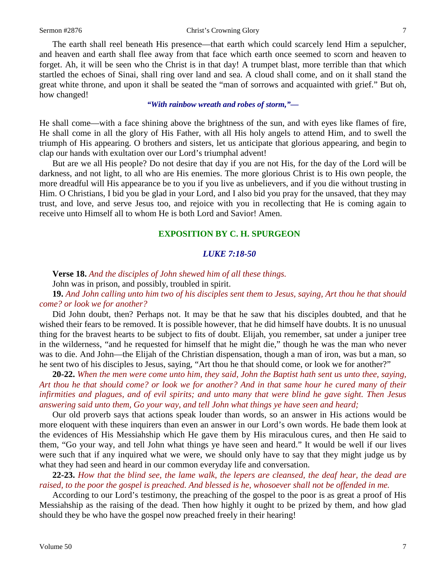### Sermon #2876 Christ's Crowning Glory 7

The earth shall reel beneath His presence—that earth which could scarcely lend Him a sepulcher, and heaven and earth shall flee away from that face which earth once seemed to scorn and heaven to forget. Ah, it will be seen who the Christ is in that day! A trumpet blast, more terrible than that which startled the echoes of Sinai, shall ring over land and sea. A cloud shall come, and on it shall stand the great white throne, and upon it shall be seated the "man of sorrows and acquainted with grief." But oh, how changed!

*"With rainbow wreath and robes of storm,"—*

He shall come—with a face shining above the brightness of the sun, and with eyes like flames of fire, He shall come in all the glory of His Father, with all His holy angels to attend Him, and to swell the triumph of His appearing. O brothers and sisters, let us anticipate that glorious appearing, and begin to clap our hands with exultation over our Lord's triumphal advent!

But are we all His people? Do not desire that day if you are not His, for the day of the Lord will be darkness, and not light, to all who are His enemies. The more glorious Christ is to His own people, the more dreadful will His appearance be to you if you live as unbelievers, and if you die without trusting in Him. O Christians, I bid you be glad in your Lord, and I also bid you pray for the unsaved, that they may trust, and love, and serve Jesus too, and rejoice with you in recollecting that He is coming again to receive unto Himself all to whom He is both Lord and Savior! Amen.

## **EXPOSITION BY C. H. SPURGEON**

# *LUKE 7:18-50*

**Verse 18.** *And the disciples of John shewed him of all these things.*

John was in prison, and possibly, troubled in spirit.

**19.** *And John calling unto him two of his disciples sent them to Jesus, saying, Art thou he that should come? or look we for another?*

Did John doubt, then? Perhaps not. It may be that he saw that his disciples doubted, and that he wished their fears to be removed. It is possible however, that he did himself have doubts. It is no unusual thing for the bravest hearts to be subject to fits of doubt. Elijah, you remember, sat under a juniper tree in the wilderness, "and he requested for himself that he might die," though he was the man who never was to die. And John—the Elijah of the Christian dispensation, though a man of iron, was but a man, so he sent two of his disciples to Jesus, saying, "Art thou he that should come, or look we for another?"

**20-22.** *When the men were come unto him, they said, John the Baptist hath sent us unto thee, saying, Art thou he that should come? or look we for another? And in that same hour he cured many of their infirmities and plagues, and of evil spirits; and unto many that were blind he gave sight. Then Jesus answering said unto them, Go your way, and tell John what things ye have seen and heard;*

Our old proverb says that actions speak louder than words, so an answer in His actions would be more eloquent with these inquirers than even an answer in our Lord's own words. He bade them look at the evidences of His Messiahship which He gave them by His miraculous cures, and then He said to them, "Go your way, and tell John what things ye have seen and heard." It would be well if our lives were such that if any inquired what we were, we should only have to say that they might judge us by what they had seen and heard in our common everyday life and conversation.

**22-23.** *How that the blind see, the lame walk, the lepers are cleansed, the deaf hear, the dead are raised, to the poor the gospel is preached. And blessed is he, whosoever shall not be offended in me.*

According to our Lord's testimony, the preaching of the gospel to the poor is as great a proof of His Messiahship as the raising of the dead. Then how highly it ought to be prized by them, and how glad should they be who have the gospel now preached freely in their hearing!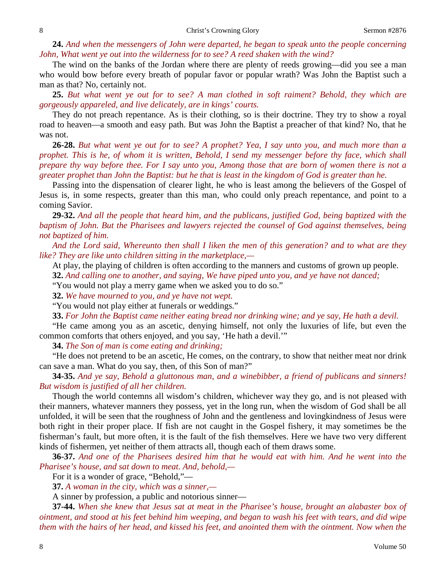**24.** *And when the messengers of John were departed, he began to speak unto the people concerning John, What went ye out into the wilderness for to see? A reed shaken with the wind?*

The wind on the banks of the Jordan where there are plenty of reeds growing—did you see a man who would bow before every breath of popular favor or popular wrath? Was John the Baptist such a man as that? No, certainly not.

**25.** *But what went ye out for to see? A man clothed in soft raiment? Behold, they which are gorgeously appareled, and live delicately, are in kings' courts.*

They do not preach repentance. As is their clothing, so is their doctrine. They try to show a royal road to heaven—a smooth and easy path. But was John the Baptist a preacher of that kind? No, that he was not.

**26-28.** *But what went ye out for to see? A prophet? Yea, I say unto you, and much more than a prophet. This is he, of whom it is written, Behold, I send my messenger before thy face, which shall prepare thy way before thee. For I say unto you, Among those that are born of women there is not a greater prophet than John the Baptist: but he that is least in the kingdom of God is greater than he.*

Passing into the dispensation of clearer light, he who is least among the believers of the Gospel of Jesus is, in some respects, greater than this man, who could only preach repentance, and point to a coming Savior.

**29-32.** *And all the people that heard him, and the publicans, justified God, being baptized with the baptism of John. But the Pharisees and lawyers rejected the counsel of God against themselves, being not baptized of him.* 

*And the Lord said, Whereunto then shall I liken the men of this generation? and to what are they like? They are like unto children sitting in the marketplace,—*

At play, the playing of children is often according to the manners and customs of grown up people.

**32.** *And calling one to another, and saying, We have piped unto you, and ye have not danced;*

"You would not play a merry game when we asked you to do so."

**32.** *We have mourned to you, and ye have not wept.*

"You would not play either at funerals or weddings."

**33.** *For John the Baptist came neither eating bread nor drinking wine; and ye say, He hath a devil.* 

"He came among you as an ascetic, denying himself, not only the luxuries of life, but even the common comforts that others enjoyed, and you say, 'He hath a devil.'"

**34.** *The Son of man is come eating and drinking;*

"He does not pretend to be an ascetic, He comes, on the contrary, to show that neither meat nor drink can save a man. What do you say, then, of this Son of man?"

**34-35.** *And ye say, Behold a gluttonous man, and a winebibber, a friend of publicans and sinners! But wisdom is justified of all her children.*

Though the world contemns all wisdom's children, whichever way they go, and is not pleased with their manners, whatever manners they possess, yet in the long run, when the wisdom of God shall be all unfolded, it will be seen that the roughness of John and the gentleness and lovingkindness of Jesus were both right in their proper place. If fish are not caught in the Gospel fishery, it may sometimes be the fisherman's fault, but more often, it is the fault of the fish themselves. Here we have two very different kinds of fishermen, yet neither of them attracts all, though each of them draws some.

**36-37.** *And one of the Pharisees desired him that he would eat with him. And he went into the Pharisee's house, and sat down to meat. And, behold,—*

For it is a wonder of grace, "Behold,"—

**37.** *A woman in the city, which was a sinner,—*

A sinner by profession, a public and notorious sinner—

**37-44.** *When she knew that Jesus sat at meat in the Pharisee's house, brought an alabaster box of ointment, and stood at his feet behind him weeping, and began to wash his feet with tears, and did wipe them with the hairs of her head, and kissed his feet, and anointed them with the ointment. Now when the*